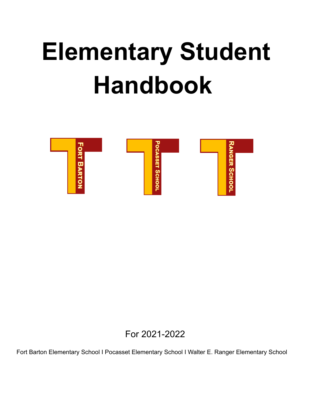# **Elementary Student Handbook**



For 2021-2022

Fort Barton Elementary School I Pocasset Elementary School I Walter E. Ranger Elementary School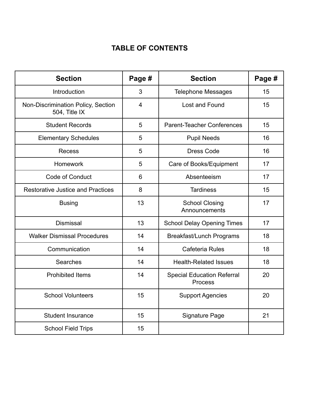# **TABLE OF CONTENTS**

| <b>Section</b>                                      | Page #         | <b>Section</b>                               | Page # |
|-----------------------------------------------------|----------------|----------------------------------------------|--------|
| Introduction                                        | 3              | <b>Telephone Messages</b>                    | 15     |
| Non-Discrimination Policy, Section<br>504, Title IX | $\overline{4}$ | Lost and Found                               | 15     |
| <b>Student Records</b>                              | 5              | <b>Parent-Teacher Conferences</b>            | 15     |
| <b>Elementary Schedules</b>                         | 5              | <b>Pupil Needs</b>                           | 16     |
| <b>Recess</b>                                       | 5              | <b>Dress Code</b>                            | 16     |
| Homework                                            | 5              | Care of Books/Equipment                      | 17     |
| Code of Conduct                                     | 6              | Absenteeism                                  | 17     |
| <b>Restorative Justice and Practices</b>            | 8              | <b>Tardiness</b>                             | 15     |
| <b>Busing</b>                                       | 13             | <b>School Closing</b><br>Announcements       | 17     |
| <b>Dismissal</b>                                    | 13             | <b>School Delay Opening Times</b>            | 17     |
| <b>Walker Dismissal Procedures</b>                  | 14             | <b>Breakfast/Lunch Programs</b>              | 18     |
| Communication                                       | 14             | <b>Cafeteria Rules</b>                       | 18     |
| Searches                                            | 14             | <b>Health-Related Issues</b>                 | 18     |
| <b>Prohibited Items</b>                             | 14             | <b>Special Education Referral</b><br>Process | 20     |
| <b>School Volunteers</b>                            | 15             | <b>Support Agencies</b>                      | 20     |
| <b>Student Insurance</b>                            | 15             | <b>Signature Page</b>                        | 21     |
| <b>School Field Trips</b>                           | 15             |                                              |        |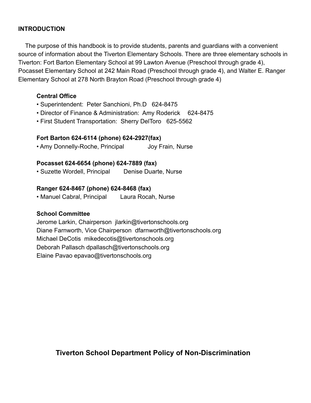## **INTRODUCTION**

The purpose of this handbook is to provide students, parents and guardians with a convenient source of information about the Tiverton Elementary Schools. There are three elementary schools in Tiverton: Fort Barton Elementary School at 99 Lawton Avenue (Preschool through grade 4), Pocasset Elementary School at 242 Main Road (Preschool through grade 4), and Walter E. Ranger Elementary School at 278 North Brayton Road (Preschool through grade 4)

## **Central Office**

- Superintendent: Peter Sanchioni, Ph.D 624-8475
- Director of Finance & Administration: Amy Roderick 624-8475
- First Student Transportation: Sherry DelToro 625-5562

## **Fort Barton 624-6114 (phone) 624-2927(fax)**

• Amy Donnelly-Roche, Principal Joy Frain, Nurse

## **Pocasset 624-6654 (phone) 624-7889 (fax)**

• Suzette Wordell, Principal Denise Duarte, Nurse

## **Ranger 624-8467 (phone) 624-8468 (fax)**

• Manuel Cabral, Principal Laura Rocah, Nurse

## **School Committee**

Jerome Larkin, Chairperson jlarkin@tivertonschools.org Diane Farnworth, Vice Chairperson dfarnworth@tivertonschools.org Michael DeCotis mikedecotis@tivertonschools.org Deborah Pallasch dpallasch@tivertonschools.org Elaine Pavao epavao@tivertonschools.org

## **Tiverton School Department Policy of Non-Discrimination**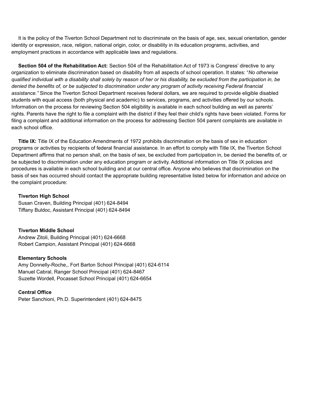It is the policy of the Tiverton School Department not to discriminate on the basis of age, sex, sexual orientation, gender identity or expression, race, religion, national origin, color, or disability in its education programs, activities, and employment practices in accordance with applicable laws and regulations.

**Section 504 of the Rehabilitation Act:** Section 504 of the Rehabilitation Act of 1973 is Congress' directive to any organization to eliminate discrimination based on disability from all aspects of school operation. It states: "*No otherwise* qualified individual with a disability shall solely by reason of her or his disability, be excluded from the participation in, be denied the benefits of, or be subjected to discrimination under any program of activity receiving Federal financial *assistance."* Since the Tiverton School Department receives federal dollars, we are required to provide eligible disabled students with equal access (both physical and academic) to services, programs, and activities offered by our schools. Information on the process for reviewing Section 504 eligibility is available in each school building as well as parents' rights. Parents have the right to file a complaint with the district if they feel their child's rights have been violated. Forms for filing a complaint and additional information on the process for addressing Section 504 parent complaints are available in each school office.

**Title IX:** Title IX of the Education Amendments of 1972 prohibits discrimination on the basis of sex in education programs or activities by recipients of federal financial assistance. In an effort to comply with Title IX, the Tiverton School Department affirms that no person shall, on the basis of sex, be excluded from participation in, be denied the benefits of, or be subjected to discrimination under any education program or activity. Additional information on Title IX policies and procedures is available in each school building and at our central office. Anyone who believes that discrimination on the basis of sex has occurred should contact the appropriate building representative listed below for information and advice on the complaint procedure:

#### **Tiverton High School**

Susan Craven, Building Principal (401) 624-8494 Tiffany Buldoc, Assistant Principal (401) 624-8494

### **Tiverton Middle School**

Andrew Zitoli, Building Principal (401) 624-6668 Robert Campion, Assistant Principal (401) 624-6668

#### **Elementary Schools**

Amy Donnelly-Roche,, Fort Barton School Principal (401) 624-6114 Manuel Cabral, Ranger School Principal (401) 624-8467 Suzette Wordell, Pocasset School Principal (401) 624-6654

### **Central Office**

Peter Sanchioni, Ph.D. Superintendent (401) 624-8475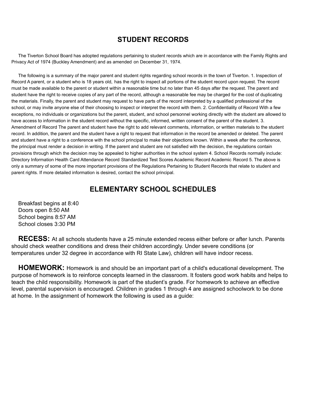## **STUDENT RECORDS**

The Tiverton School Board has adopted regulations pertaining to student records which are in accordance with the Family Rights and Privacy Act of 1974 (Buckley Amendment) and as amended on December 31, 1974.

The following is a summary of the major parent and student rights regarding school records in the town of Tiverton. 1. Inspection of Record A parent, or a student who is 18 years old, has the right to inspect all portions of the student record upon request. The record must be made available to the parent or student within a reasonable time but no later than 45 days after the request. The parent and student have the right to receive copies of any part of the record, although a reasonable fee may be charged for the cost of duplicating the materials. Finally, the parent and student may request to have parts of the record interpreted by a qualified professional of the school, or may invite anyone else of their choosing to inspect or interpret the record with them. 2. Confidentiality of Record With a few exceptions, no individuals or organizations but the parent, student, and school personnel working directly with the student are allowed to have access to information in the student record without the specific, informed, written consent of the parent of the student. 3. Amendment of Record The parent and student have the right to add relevant comments, information, or written materials to the student record. In addition, the parent and the student have a right to request that information in the record be amended or deleted. The parent and student have a right to a conference with the school principal to make their objections known. Within a week after the conference, the principal must render a decision in writing. If the parent and student are not satisfied with the decision, the regulations contain provisions through which the decision may be appealed to higher authorities in the school system 4. School Records normally include: Directory Information Health Card Attendance Record Standardized Test Scores Academic Record Academic Record 5. The above is only a summary of some of the more important provisions of the Regulations Pertaining to Student Records that relate to student and parent rights. If more detailed information is desired, contact the school principal.

## **ELEMENTARY SCHOOL SCHEDULES**

Breakfast begins at 8:40 Doors open 8:50 AM School begins 8:57 AM School closes 3:30 PM

**RECESS:** At all schools students have a 25 minute extended recess either before or after lunch. Parents should check weather conditions and dress their children accordingly. Under severe conditions (or temperatures under 32 degree in accordance with RI State Law), children will have indoor recess.

**HOMEWORK:** Homework is and should be an important part of a child's educational development. The purpose of homework is to reinforce concepts learned in the classroom. It fosters good work habits and helps to teach the child responsibility. Homework is part of the student's grade. For homework to achieve an effective level, parental supervision is encouraged. Children in grades 1 through 4 are assigned schoolwork to be done at home. In the assignment of homework the following is used as a guide: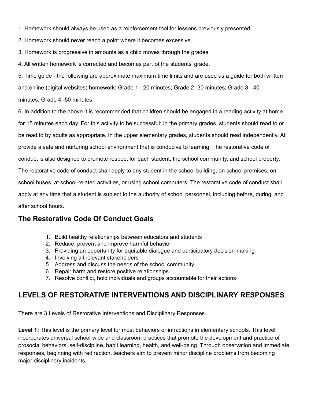- 1. Homework should always be used as a reinforcement tool for lessons previously presented.
- 2. Homework should never reach a point where it becomes excessive.
- 3. Homework is progressive in amounts as a child moves through the grades.
- 4. All written homework is corrected and becomes part of the students' grade.

5. Time guide - the following are approximate maximum time limits and are used as a guide for both written and online (digital websites) homework: Grade 1 - 20 minutes; Grade 2 -30 minutes; Grade 3 - 40 minutes; Grade 4 -50 minutes.

6. In addition to the above it is recommended that children should be engaged in a reading activity at home for 15 minutes each day. For this activity to be successful: In the primary grades, students should read to or be read to by adults as appropriate. In the upper elementary grades, students should read independently. At provide a safe and nurturing school environment that is conducive to learning. The restorative code of conduct is also designed to promote respect for each student, the school community, and school property. The restorative code of conduct shall apply to any student in the school building, on school premises, on school buses, at school-related activities, or using school computers. The restorative code of conduct shall apply at any time that a student is subject to the authority of school personnel, including before, during, and after school hours.

## **The Restorative Code Of Conduct Goals**

- 1. Build healthy relationships between educators and students
- 2. Reduce, prevent and improve harmful behavior
- 3. Providing an opportunity for equitable dialogue and participatory decision-making
- 4. Involving all relevant stakeholders
- 5. Address and discuss the needs of the school community
- 6. Repair harm and restore positive relationships
- 7. Resolve conflict, hold individuals and groups accountable for their actions

## **LEVELS OF RESTORATIVE INTERVENTIONS AND DISCIPLINARY RESPONSES**

There are 3 Levels of Restorative Interventions and Disciplinary Responses.

**Level 1:** This level is the primary level for most behaviors or infractions in elementary schools. This level incorporates universal school-wide and classroom practices that promote the development and practice of prosocial behaviors, self-discipline, habit learning, health, and well-being. Through observation and immediate responses, beginning with redirection, teachers aim to prevent minor discipline problems from becoming major disciplinary incidents.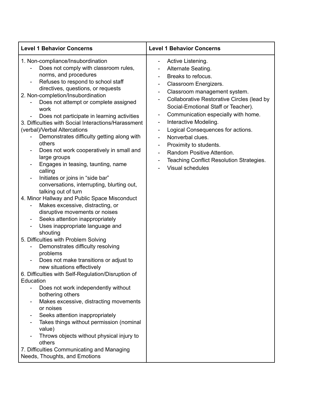| <b>Level 1 Behavior Concerns</b>                                                                                                                                                                                                                                                                                                                                                                                                                                                                                                                                                                                                                                                                                                                                                                                                                                                                                                                                                                                                                                                                                                                                                                                                                                                                                                                                                                                                                                                                                                                                                                                                       | <b>Level 1 Behavior Concerns</b>                                                                                                                                                                                                                                                                                                                                                                                                                                                                                                                                                                                                                                                                            |  |
|----------------------------------------------------------------------------------------------------------------------------------------------------------------------------------------------------------------------------------------------------------------------------------------------------------------------------------------------------------------------------------------------------------------------------------------------------------------------------------------------------------------------------------------------------------------------------------------------------------------------------------------------------------------------------------------------------------------------------------------------------------------------------------------------------------------------------------------------------------------------------------------------------------------------------------------------------------------------------------------------------------------------------------------------------------------------------------------------------------------------------------------------------------------------------------------------------------------------------------------------------------------------------------------------------------------------------------------------------------------------------------------------------------------------------------------------------------------------------------------------------------------------------------------------------------------------------------------------------------------------------------------|-------------------------------------------------------------------------------------------------------------------------------------------------------------------------------------------------------------------------------------------------------------------------------------------------------------------------------------------------------------------------------------------------------------------------------------------------------------------------------------------------------------------------------------------------------------------------------------------------------------------------------------------------------------------------------------------------------------|--|
| 1. Non-compliance/Insubordination<br>Does not comply with classroom rules,<br>norms, and procedures<br>Refuses to respond to school staff<br>$\qquad \qquad \blacksquare$<br>directives, questions, or requests<br>2. Non-completion/Insubordination<br>Does not attempt or complete assigned<br>work<br>Does not participate in learning activities<br>3. Difficulties with Social Interactions/Harassment<br>(verbal)/Verbal Altercations<br>Demonstrates difficulty getting along with<br>others<br>Does not work cooperatively in small and<br>large groups<br>Engages in teasing, taunting, name<br>calling<br>Initiates or joins in "side bar"<br>conversations, interrupting, blurting out,<br>talking out of turn<br>4. Minor Hallway and Public Space Misconduct<br>Makes excessive, distracting, or<br>disruptive movements or noises<br>Seeks attention inappropriately<br>$\overline{\phantom{a}}$<br>Uses inappropriate language and<br>$\overline{\phantom{0}}$<br>shouting<br>5. Difficulties with Problem Solving<br>Demonstrates difficulty resolving<br>problems<br>Does not make transitions or adjust to<br>new situations effectively<br>6. Difficulties with Self-Regulation/Disruption of<br>Education<br>Does not work independently without<br>$\overline{\phantom{a}}$<br>bothering others<br>Makes excessive, distracting movements<br>$\overline{\phantom{0}}$<br>or noises<br>Seeks attention inappropriately<br>Takes things without permission (nominal<br>value)<br>Throws objects without physical injury to<br>others<br>7. Difficulties Communicating and Managing<br>Needs, Thoughts, and Emotions | Active Listening.<br>۰<br>Alternate Seating.<br>Breaks to refocus.<br>Classroom Energizers.<br>$\overline{\phantom{a}}$<br>Classroom management system.<br>$\overline{\phantom{a}}$<br>Collaborative Restorative Circles (lead by<br>$\overline{\phantom{a}}$<br>Social-Emotional Staff or Teacher).<br>Communication especially with home.<br>$\overline{\phantom{a}}$<br>Interactive Modeling.<br>۰<br>Logical Consequences for actions.<br>$\overline{\phantom{a}}$<br>Nonverbal clues.<br>$\overline{\phantom{a}}$<br>Proximity to students.<br>$\overline{\phantom{a}}$<br>Random Positive Attention.<br>٠<br>Teaching Conflict Resolution Strategies.<br>$\overline{\phantom{a}}$<br>Visual schedules |  |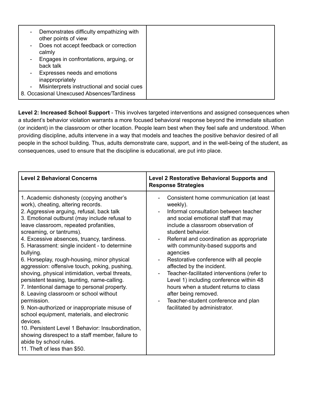| $\sim$<br>$\sim$ | Demonstrates difficulty empathizing with<br>other points of view<br>Does not accept feedback or correction<br>calmly<br>Engages in confrontations, arguing, or<br>back talk<br>- Expresses needs and emotions<br>inappropriately<br>Misinterprets instructional and social cues |  |
|------------------|---------------------------------------------------------------------------------------------------------------------------------------------------------------------------------------------------------------------------------------------------------------------------------|--|
|                  | 8. Occasional Unexcused Absences/Tardiness                                                                                                                                                                                                                                      |  |

**Level 2: Increased School Support** - This involves targeted interventions and assigned consequences when a student's behavior violation warrants a more focused behavioral response beyond the immediate situation (or incident) in the classroom or other location. People learn best when they feel safe and understood. When providing discipline, adults intervene in a way that models and teaches the positive behavior desired of all people in the school building. Thus, adults demonstrate care, support, and in the well-being of the student, as consequences, used to ensure that the discipline is educational, are put into place.

| <b>Level 2 Behavioral Concerns</b>                                                                                                                                                                                                                                                                                                                                                                                                                                                                                                                                                                                                                                                                                                                                                                                                                                                                                                                      | <b>Level 2 Restorative Behavioral Supports and</b><br><b>Response Strategies</b>                                                                                                                                                                                                                                                                                                                                                                                                                                                                                                                      |
|---------------------------------------------------------------------------------------------------------------------------------------------------------------------------------------------------------------------------------------------------------------------------------------------------------------------------------------------------------------------------------------------------------------------------------------------------------------------------------------------------------------------------------------------------------------------------------------------------------------------------------------------------------------------------------------------------------------------------------------------------------------------------------------------------------------------------------------------------------------------------------------------------------------------------------------------------------|-------------------------------------------------------------------------------------------------------------------------------------------------------------------------------------------------------------------------------------------------------------------------------------------------------------------------------------------------------------------------------------------------------------------------------------------------------------------------------------------------------------------------------------------------------------------------------------------------------|
| 1. Academic dishonesty (copying another's<br>work), cheating, altering records.<br>2. Aggressive arguing, refusal, back talk<br>3. Emotional outburst (may include refusal to<br>leave classroom, repeated profanities,<br>screaming, or tantrums).<br>4. Excessive absences, truancy, tardiness.<br>5. Harassment: single incident - to determine<br>bullying.<br>6. Horseplay, rough-housing, minor physical<br>aggression: offensive touch, poking, pushing,<br>shoving, physical intimidation, verbal threats,<br>persistent teasing, taunting, name-calling.<br>7. Intentional damage to personal property.<br>8. Leaving classroom or school without<br>permission.<br>9. Non-authorized or inappropriate misuse of<br>school equipment, materials, and electronic<br>devices.<br>10. Persistent Level 1 Behavior: Insubordination,<br>showing disrespect to a staff member, failure to<br>abide by school rules.<br>11. Theft of less than \$50. | Consistent home communication (at least<br>weekly).<br>Informal consultation between teacher<br>and social emotional staff that may<br>include a classroom observation of<br>student behavior.<br>Referral and coordination as appropriate<br>with community-based supports and<br>agencies<br>Restorative conference with all people<br>affected by the incident.<br>Teacher-facilitated interventions (refer to<br>Level 1) including conference within 48<br>hours when a student returns to class<br>after being removed.<br>Teacher-student conference and plan<br>facilitated by administrator. |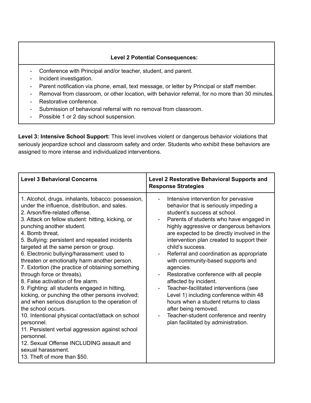## **Level 2 Potential Consequences:**

- Conference with Principal and/or teacher, student, and parent.
- Incident investigation.
- Parent notification via phone, email, text message, or letter by Principal or staff member.
- Removal from classroom, or other location, with behavior referral, for no more than 30 minutes. - Restorative conference.
- Submission of behavioral referral with no removal from classroom.
- Possible 1 or 2 day school suspension.

**Level 3: Intensive School Support:** This level involves violent or dangerous behavior violations that seriously jeopardize school and classroom safety and order. Students who exhibit these behaviors are assigned to more intense and individualized interventions.

| <b>Level 3 Behavioral Concerns</b>                                                                                                                                                                                                                                                                                                                                                                                                                                                                                                                                                                                                                                                                                                                                                                                                                                                                                                                                               | <b>Level 2 Restorative Behavioral Supports and</b><br><b>Response Strategies</b>                                                                                                                                                                                                                                                                                                                                                                                                                                                                                                                                                                                                                                              |
|----------------------------------------------------------------------------------------------------------------------------------------------------------------------------------------------------------------------------------------------------------------------------------------------------------------------------------------------------------------------------------------------------------------------------------------------------------------------------------------------------------------------------------------------------------------------------------------------------------------------------------------------------------------------------------------------------------------------------------------------------------------------------------------------------------------------------------------------------------------------------------------------------------------------------------------------------------------------------------|-------------------------------------------------------------------------------------------------------------------------------------------------------------------------------------------------------------------------------------------------------------------------------------------------------------------------------------------------------------------------------------------------------------------------------------------------------------------------------------------------------------------------------------------------------------------------------------------------------------------------------------------------------------------------------------------------------------------------------|
| 1. Alcohol, drugs, inhalants, tobacco: possession,<br>under the influence, distribution, and sales.<br>2. Arson/fire-related offense.<br>3. Attack on fellow student: hitting, kicking, or<br>punching another student.<br>4. Bomb threat.<br>5. Bullying: persistent and repeated incidents<br>targeted at the same person or group.<br>6. Electronic bullying/harassment: used to<br>threaten or emotionally harm another person.<br>7. Extortion (the practice of obtaining something<br>through force or threats).<br>8. False activation of fire alarm.<br>9. Fighting: all students engaged in hitting,<br>kicking, or punching the other persons involved;<br>and when serious disruption to the operation of<br>the school occurs.<br>10. Intentional physical contact/attack on school<br>personnel.<br>11. Persistent verbal aggression against school<br>personnel.<br>12. Sexual Offense INCLUDING assault and<br>sexual harassment.<br>13. Theft of more than \$50. | Intensive intervention for pervasive<br>behavior that is seriously impeding a<br>student's success at school.<br>Parents of students who have engaged in<br>highly aggressive or dangerous behaviors<br>are expected to be directly involved in the<br>intervention plan created to support their<br>child's success.<br>Referral and coordination as appropriate<br>with community-based supports and<br>agencies.<br>Restorative conference with all people<br>affected by incident.<br>Teacher-facilitated interventions (see<br>Level 1) including conference within 48<br>hours when a student returns to class<br>after being removed.<br>Teacher-student conference and reentry<br>plan facilitated by administration. |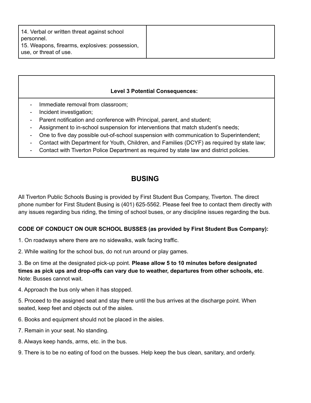## **Level 3 Potential Consequences:**

- Immediate removal from classroom:
- Incident investigation;
- Parent notification and conference with Principal, parent, and student;
- Assignment to in-school suspension for interventions that match student's needs;
- One to five day possible out-of-school suspension with communication to Superintendent;
- Contact with Department for Youth, Children, and Families (DCYF) as required by state law;
- Contact with Tiverton Police Department as required by state law and district policies.

## **BUSING**

All Tiverton Public Schools Busing is provided by First Student Bus Company, Tiverton. The direct phone number for First Student Busing is (401) 625-5562. Please feel free to contact them directly with any issues regarding bus riding, the timing of school buses, or any discipline issues regarding the bus.

## **CODE OF CONDUCT ON OUR SCHOOL BUSSES (as provided by First Student Bus Company):**

- 1. On roadways where there are no sidewalks, walk facing traffic.
- 2. While waiting for the school bus, do not run around or play games.

3. Be on time at the designated pick-up point. **Please allow 5 to 10 minutes before designated times as pick ups and drop-offs can vary due to weather, departures from other schools, etc**. Note: Busses cannot wait.

4. Approach the bus only when it has stopped.

5. Proceed to the assigned seat and stay there until the bus arrives at the discharge point. When seated, keep feet and objects out of the aisles.

- 6. Books and equipment should not be placed in the aisles.
- 7. Remain in your seat. No standing.
- 8. Always keep hands, arms, etc. in the bus.
- 9. There is to be no eating of food on the busses. Help keep the bus clean, sanitary, and orderly.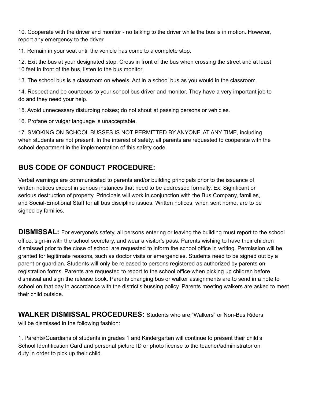10. Cooperate with the driver and monitor - no talking to the driver while the bus is in motion. However, report any emergency to the driver.

11. Remain in your seat until the vehicle has come to a complete stop.

12. Exit the bus at your designated stop. Cross in front of the bus when crossing the street and at least 10 feet in front of the bus, listen to the bus monitor.

13. The school bus is a classroom on wheels. Act in a school bus as you would in the classroom.

14. Respect and be courteous to your school bus driver and monitor. They have a very important job to do and they need your help.

15. Avoid unnecessary disturbing noises; do not shout at passing persons or vehicles.

16. Profane or vulgar language is unacceptable.

17. SMOKING ON SCHOOL BUSSES IS NOT PERMITTED BY ANYONE AT ANY TIME, including when students are not present. In the interest of safety, all parents are requested to cooperate with the school department in the implementation of this safety code.

# **BUS CODE OF CONDUCT PROCEDURE:**

Verbal warnings are communicated to parents and/or building principals prior to the issuance of written notices except in serious instances that need to be addressed formally. Ex. Significant or serious destruction of property. Principals will work in conjunction with the Bus Company, families, and Social-Emotional Staff for all bus discipline issues. Written notices, when sent home, are to be signed by families.

**DISMISSAL:** For everyone's safety, all persons entering or leaving the building must report to the school office, sign-in with the school secretary, and wear a visitor's pass. Parents wishing to have their children dismissed prior to the close of school are requested to inform the school office in writing. Permission will be granted for legitimate reasons, such as doctor visits or emergencies. Students need to be signed out by a parent or guardian. Students will only be released to persons registered as authorized by parents on registration forms. Parents are requested to report to the school office when picking up children before dismissal and sign the release book. Parents changing bus or walker assignments are to send in a note to school on that day in accordance with the district's bussing policy. Parents meeting walkers are asked to meet their child outside.

**WALKER DISMISSAL PROCEDURES:** Students who are "Walkers" or Non-Bus Riders will be dismissed in the following fashion:

1. Parents/Guardians of students in grades 1 and Kindergarten will continue to present their child's School Identification Card and personal picture ID or photo license to the teacher/administrator on duty in order to pick up their child.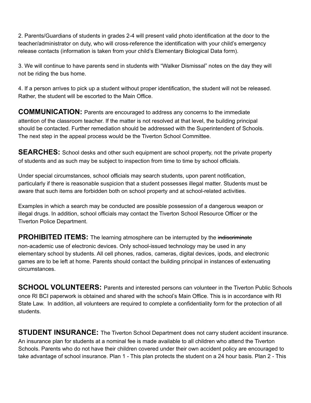2. Parents/Guardians of students in grades 2-4 will present valid photo identification at the door to the teacher/administrator on duty, who will cross-reference the identification with your child's emergency release contacts (information is taken from your child's Elementary Biological Data form).

3. We will continue to have parents send in students with "Walker Dismissal" notes on the day they will not be riding the bus home.

4. If a person arrives to pick up a student without proper identification, the student will not be released. Rather, the student will be escorted to the Main Office.

**COMMUNICATION:** Parents are encouraged to address any concerns to the immediate attention of the classroom teacher. If the matter is not resolved at that level, the building principal should be contacted. Further remediation should be addressed with the Superintendent of Schools. The next step in the appeal process would be the Tiverton School Committee.

**SEARCHES:** School desks and other such equipment are school property, not the private property of students and as such may be subject to inspection from time to time by school officials.

Under special circumstances, school officials may search students, upon parent notification, particularly if there is reasonable suspicion that a student possesses illegal matter. Students must be aware that such items are forbidden both on school property and at school-related activities.

Examples in which a search may be conducted are possible possession of a dangerous weapon or illegal drugs. In addition, school officials may contact the Tiverton School Resource Officer or the Tiverton Police Department.

**PROHIBITED ITEMS:** The learning atmosphere can be interrupted by the indiscriminate non-academic use of electronic devices. Only school-issued technology may be used in any elementary school by students. All cell phones, radios, cameras, digital devices, ipods, and electronic games are to be left at home. Parents should contact the building principal in instances of extenuating circumstances.

**SCHOOL VOLUNTEERS:** Parents and interested persons can volunteer in the Tiverton Public Schools once RI BCI paperwork is obtained and shared with the school's Main Office. This is in accordance with RI State Law. In addition, all volunteers are required to complete a confidentiality form for the protection of all students.

**STUDENT INSURANCE:** The Tiverton School Department does not carry student accident insurance. An insurance plan for students at a nominal fee is made available to all children who attend the Tiverton Schools. Parents who do not have their children covered under their own accident policy are encouraged to take advantage of school insurance. Plan 1 - This plan protects the student on a 24 hour basis. Plan 2 - This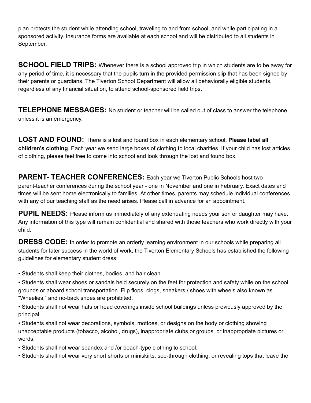plan protects the student while attending school, traveling to and from school, and while participating in a sponsored activity. Insurance forms are available at each school and will be distributed to all students in September.

**SCHOOL FIELD TRIPS:** Whenever there is a school approved trip in which students are to be away for any period of time, it is necessary that the pupils turn in the provided permission slip that has been signed by their parents or guardians. The Tiverton School Department will allow all behaviorally eligible students, regardless of any financial situation, to attend school-sponsored field trips.

**TELEPHONE MESSAGES:** No student or teacher will be called out of class to answer the telephone unless it is an emergency.

**LOST AND FOUND:** There is a lost and found box in each elementary school. **Please label all children's clothing**. Each year we send large boxes of clothing to local charities. If your child has lost articles of clothing, please feel free to come into school and look through the lost and found box.

**PARENT- TEACHER CONFERENCES:** Each year we Tiverton Public Schools host two parent-teacher conferences during the school year - one in November and one in February. Exact dates and times will be sent home electronically to families. At other times, parents may schedule individual conferences with any of our teaching staff as the need arises. Please call in advance for an appointment.

**PUPIL NEEDS:** Please inform us immediately of any extenuating needs your son or daughter may have. Any information of this type will remain confidential and shared with those teachers who work directly with your child.

**DRESS CODE:** In order to promote an orderly learning environment in our schools while preparing all students for later success in the world of work, the Tiverton Elementary Schools has established the following guidelines for elementary student dress:

• Students shall keep their clothes, bodies, and hair clean.

• Students shall wear shoes or sandals held securely on the feet for protection and safety while on the school grounds or aboard school transportation. Flip flops, clogs, sneakers / shoes with wheels also known as "Wheelies," and no-back shoes are prohibited.

• Students shall not wear hats or head coverings inside school buildings unless previously approved by the principal.

• Students shall not wear decorations, symbols, mottoes, or designs on the body or clothing showing unacceptable products (tobacco, alcohol, drugs), inappropriate clubs or groups, or inappropriate pictures or words.

• Students shall not wear spandex and /or beach-type clothing to school.

• Students shall not wear very short shorts or miniskirts, see-through clothing, or revealing tops that leave the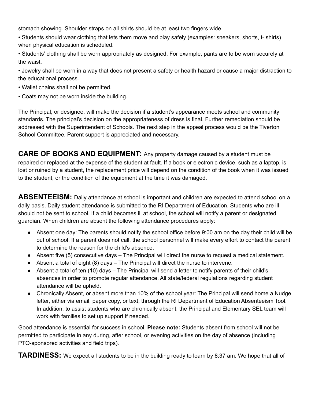stomach showing. Shoulder straps on all shirts should be at least two fingers wide.

- Students should wear clothing that lets them move and play safely (examples: sneakers, shorts, t- shirts) when physical education is scheduled.
- Students' clothing shall be worn appropriately as designed. For example, pants are to be worn securely at the waist.
- Jewelry shall be worn in a way that does not present a safety or health hazard or cause a major distraction to the educational process.
- Wallet chains shall not be permitted.
- Coats may not be worn inside the building.

The Principal, or designee, will make the decision if a student's appearance meets school and community standards. The principal's decision on the appropriateness of dress is final. Further remediation should be addressed with the Superintendent of Schools. The next step in the appeal process would be the Tiverton School Committee. Parent support is appreciated and necessary.

**CARE OF BOOKS AND EQUIPMENT:** Any property damage caused by a student must be repaired or replaced at the expense of the student at fault. If a book or electronic device, such as a laptop, is lost or ruined by a student, the replacement price will depend on the condition of the book when it was issued to the student, or the condition of the equipment at the time it was damaged.

**ABSENTEEISM:** Daily attendance at school is important and children are expected to attend school on a daily basis. Daily student attendance is submitted to the RI Department of Education. Students who are ill should not be sent to school. If a child becomes ill at school, the school will notify a parent or designated guardian. When children are absent the following attendance procedures apply:

- Absent one day: The parents should notify the school office before 9:00 am on the day their child will be out of school. If a parent does not call, the school personnel will make every effort to contact the parent to determine the reason for the child's absence.
- Absent five (5) consecutive days The Principal will direct the nurse to request a medical statement.
- Absent a total of eight (8) days The Principal will direct the nurse to intervene.
- Absent a total of ten (10) days The Principal will send a letter to notify parents of their child's absences in order to promote regular attendance. All state/federal regulations regarding student attendance will be upheld.
- Chronically Absent, or absent more than 10% of the school year: The Principal will send home a Nudge letter, either via email, paper copy, or text, through the RI Department of Education Absenteeism Tool. In addition, to assist students who are chronically absent, the Principal and Elementary SEL team will work with families to set up support if needed.

Good attendance is essential for success in school. **Please note:** Students absent from school will not be permitted to participate in any during, after school, or evening activities on the day of absence (including PTO-sponsored activities and field trips).

**TARDINESS:** We expect all students to be in the building ready to learn by 8:37 am. We hope that all of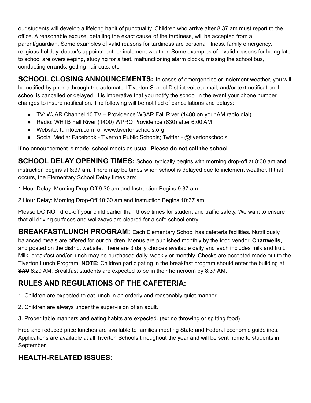our students will develop a lifelong habit of punctuality. Children who arrive after 8:37 am must report to the office. A reasonable excuse, detailing the exact cause of the tardiness, will be accepted from a parent/guardian. Some examples of valid reasons for tardiness are personal illness, family emergency, religious holiday, doctor's appointment, or inclement weather. Some examples of invalid reasons for being late to school are oversleeping, studying for a test, malfunctioning alarm clocks, missing the school bus, conducting errands, getting hair cuts, etc.

**SCHOOL CLOSING ANNOUNCEMENTS:** In cases of emergencies or inclement weather, you will be notified by phone through the automated Tiverton School District voice, email, and/or text notification if school is cancelled or delayed. It is imperative that you notify the school in the event your phone number changes to insure notification. The following will be notified of cancellations and delays:

- TV: WJAR Channel 10 TV Providence WSAR Fall River (1480 on your AM radio dial)
- Radio: WHTB Fall River (1400) WPRO Providence (630) after 6:00 AM
- Website: turntoten.com or www.tivertonschools.org
- Social Media: Facebook Tiverton Public Schools; Twitter @tivertonschools

If no announcement is made, school meets as usual. **Please do not call the school.**

**SCHOOL DELAY OPENING TIMES:** School typically begins with morning drop-off at 8:30 am and instruction begins at 8:37 am. There may be times when school is delayed due to inclement weather. If that occurs, the Elementary School Delay times are:

1 Hour Delay: Morning Drop-Off 9:30 am and Instruction Begins 9:37 am.

2 Hour Delay: Morning Drop-Off 10:30 am and Instruction Begins 10:37 am.

Please DO NOT drop-off your child earlier than those times for student and traffic safety. We want to ensure that all driving surfaces and walkways are cleared for a safe school entry.

**BREAKFAST/LUNCH PROGRAM:** Each Elementary School has cafeteria facilities. Nutritiously balanced meals are offered for our children. Menus are published monthly by the food vendor, **Chartwells,** and posted on the district website. There are 3 daily choices available daily and each includes milk and fruit. Milk, breakfast and/or lunch may be purchased daily, weekly or monthly. Checks are accepted made out to the Tiverton Lunch Program. **NOTE:** Children participating in the breakfast program should enter the building at 8:30 8:20 AM. Breakfast students are expected to be in their homeroom by 8:37 AM.

# **RULES AND REGULATIONS OF THE CAFETERIA:**

1. Children are expected to eat lunch in an orderly and reasonably quiet manner.

2. Children are always under the supervision of an adult.

3. Proper table manners and eating habits are expected. (ex: no throwing or spitting food)

Free and reduced price lunches are available to families meeting State and Federal economic guidelines. Applications are available at all Tiverton Schools throughout the year and will be sent home to students in September.

# **HEALTH-RELATED ISSUES:**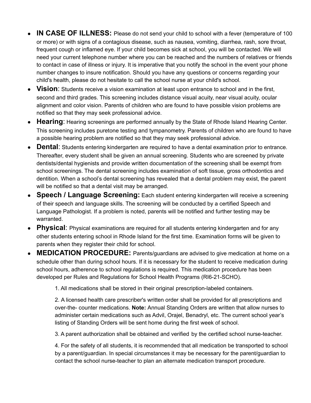- **IN CASE OF ILLNESS:** Please do not send your child to school with a fever (temperature of 100 or more) or with signs of a contagious disease, such as nausea, vomiting, diarrhea, rash, sore throat, frequent cough or inflamed eye. If your child becomes sick at school, you will be contacted. We will need your current telephone number where you can be reached and the numbers of relatives or friends to contact in case of illness or injury. It is imperative that you notify the school in the event your phone number changes to insure notification. Should you have any questions or concerns regarding your child's health, please do not hesitate to call the school nurse at your child's school.
- **Vision**: Students receive a vision examination at least upon entrance to school and in the first, second and third grades. This screening includes distance visual acuity, near visual acuity, ocular alignment and color vision. Parents of children who are found to have possible vision problems are notified so that they may seek professional advice.
- **Hearing**: Hearing screenings are performed annually by the State of Rhode Island Hearing Center. This screening includes puretone testing and tympanometry. Parents of children who are found to have a possible hearing problem are notified so that they may seek professional advice.
- **Dental**: Students entering kindergarten are required to have a dental examination prior to entrance. Thereafter, every student shall be given an annual screening. Students who are screened by private dentists/dental hygienists and provide written documentation of the screening shall be exempt from school screenings. The dental screening includes examination of soft tissue, gross orthodontics and dentition. When a school's dental screening has revealed that a dental problem may exist, the parent will be notified so that a dental visit may be arranged.
- **Speech / Language Screening:** Each student entering kindergarten will receive a screening of their speech and language skills. The screening will be conducted by a certified Speech and Language Pathologist. If a problem is noted, parents will be notified and further testing may be warranted.
- **Physical**: Physical examinations are required for all students entering kindergarten and for any other students entering school in Rhode Island for the first time. Examination forms will be given to parents when they register their child for school.
- **MEDICATION PROCEDURE:** Parents/guardians are advised to give medication at home on a schedule other than during school hours. If it is necessary for the student to receive medication during school hours, adherence to school regulations is required. This medication procedure has been developed per Rules and Regulations for School Health Programs (RI6-21-SCHO).

1. All medications shall be stored in their original prescription-labeled containers.

2. A licensed health care prescriber's written order shall be provided for all prescriptions and over-the- counter medications. **Note:** Annual Standing Orders are written that allow nurses to administer certain medications such as Advil, Orajel, Benadryl, etc. The current school year's listing of Standing Orders will be sent home during the first week of school.

3. A parent authorization shall be obtained and verified by the certified school nurse-teacher.

4. For the safety of all students, it is recommended that all medication be transported to school by a parent/guardian. In special circumstances it may be necessary for the parent/guardian to contact the school nurse-teacher to plan an alternate medication transport procedure.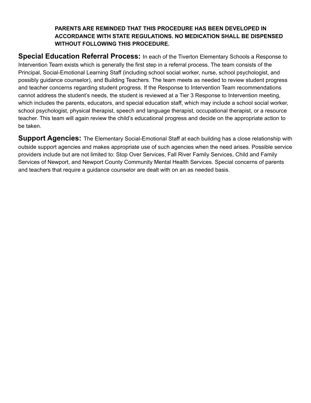## **PARENTS ARE REMINDED THAT THIS PROCEDURE HAS BEEN DEVELOPED IN ACCORDANCE WITH STATE REGULATIONS. NO MEDICATION SHALL BE DISPENSED WITHOUT FOLLOWING THIS PROCEDURE.**

**Special Education Referral Process:** In each of the Tiverton Elementary Schools a Response to Intervention Team exists which is generally the first step in a referral process. The team consists of the Principal, Social-Emotional Learning Staff (including school social worker, nurse, school psychologist, and possibly guidance counselor), and Building Teachers. The team meets as needed to review student progress and teacher concerns regarding student progress. If the Response to Intervention Team recommendations cannot address the student's needs, the student is reviewed at a Tier 3 Response to Intervention meeting, which includes the parents, educators, and special education staff, which may include a school social worker, school psychologist, physical therapist, speech and language therapist, occupational therapist, or a resource teacher. This team will again review the child's educational progress and decide on the appropriate action to be taken.

**Support Agencies:** The Elementary Social-Emotional Staff at each building has a close relationship with outside support agencies and makes appropriate use of such agencies when the need arises. Possible service providers include but are not limited to: Stop Over Services, Fall River Family Services, Child and Family Services of Newport, and Newport County Community Mental Health Services. Special concerns of parents and teachers that require a guidance counselor are dealt with on an as needed basis.